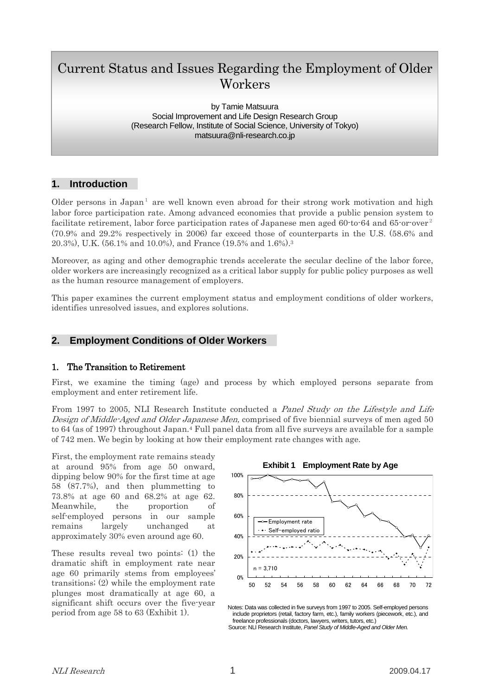# Current Status and Issues Regarding the Employment of Older Workers

by Tamie Matsuura Social Improvement and Life Design Research Group (Research Fellow, Institute of Social Science, University of Tokyo) matsuura@nli-research.co.jp

# **1. Introduction**

Older persons in Japan<sup>1</sup> are well known even abroad for their strong work motivation and high labor force participation rate. Among advanced economies that provide a public pension system to facilitate retirement, labor force participation rates of Japanese men aged 60-to-64 and 65-or-over<sup>2</sup> (70.9% and 29.2% respectively in 2006) far exceed those of counterparts in the U.S. (58.6% and 20.3%), U.K. (56.1% and 10.0%), and France (19.5% and 1.6%).3

Moreover, as aging and other demographic trends accelerate the secular decline of the labor force, older workers are increasingly recognized as a critical labor supply for public policy purposes as well as the human resource management of employers.

This paper examines the current employment status and employment conditions of older workers, identifies unresolved issues, and explores solutions.

# **2. Employment Conditions of Older Workers**

#### 1. The Transition to Retirement

First, we examine the timing (age) and process by which employed persons separate from employment and enter retirement life.

From 1997 to 2005, NLI Research Institute conducted a *Panel Study on the Lifestyle and Life* Design of Middle-Aged and Older Japanese Men, comprised of five biennial surveys of men aged 50 to 64 (as of 1997) throughout Japan.4 Full panel data from all five surveys are available for a sample of 742 men. We begin by looking at how their employment rate changes with age.

First, the employment rate remains steady at around 95% from age 50 onward, dipping below 90% for the first time at age 58 (87.7%), and then plummetting to 73.8% at age 60 and 68.2% at age 62. Meanwhile, the proportion of self-employed persons in our sample remains largely unchanged at approximately 30% even around age 60.

These results reveal two points: (1) the dramatic shift in employment rate near age 60 primarily stems from employees' transitions; (2) while the employment rate plunges most dramatically at age 60, a significant shift occurs over the five-year period from age 58 to 63 (Exhibit 1).



Notes: Data was collected in five surveys from 1997 to 2005. Self-employed persons include proprietors (retail, factory farm, etc.), family workers (piecework, etc.), and freelance professionals (doctors, lawyers, writers, tutors, etc.) Source: NLI Research Institute, *Panel Study of Middle-Aged and Older Men.*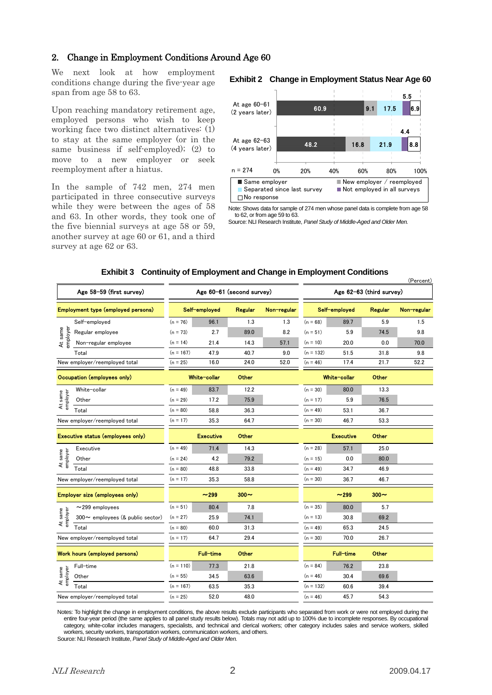### 2. Change in Employment Conditions Around Age 60

We next look at how employment conditions change during the five-year age span from age 58 to 63.

At age 60-61<br>Upon reaching mandatory retirement age, (2 years later) employed persons who wish to keep working face two distinct alternatives: (1) to stay at the same employer (or in the same business if self-employed); (2) to move to a new employer or seek reemployment after a hiatus.

In the sample of 742 men, 274 men **Same employer** participated in three consecutive surveys while they were between the ages of 58 and 63. In other words, they took one of the five biennial surveys at age 58 or 59, another survey at age 60 or 61, and a third survey at age 62 or 63.

#### **Exhibit 2 Change in Employment Status Near Age 60**



Note: Shows data for sample of 274 men whose panel data is complete from age 58 to 62, or from age 59 to 63.

Source: NLI Research Institute, *Panel Study of Middle-Aged and Older Men.*

#### **Exhibit 3 Continuity of Employment and Change in Employment Conditions**

| Age 58-59 (first survey)           |                                        | Age 60-61 (second survey) |                  |              |             | (Fercenc)<br>Age 62-63 (third survey) |                  |         |             |
|------------------------------------|----------------------------------------|---------------------------|------------------|--------------|-------------|---------------------------------------|------------------|---------|-------------|
| Employment type (employed persons) |                                        | Self-employed             |                  | Regular      | Non-regular | Self-employed                         |                  | Regular | Non-regular |
| At same<br>employer                | Self-employed                          | $(n = 76)$                | 96.1             | 1.3          | 1.3         | $(n = 68)$                            | 89.7             | 5.9     | 1.5         |
|                                    | Regular employee                       | $(n = 73)$                | 2.7              | 89.0         | 8.2         | $(n = 51)$                            | 5.9              | 74.5    | 9.8         |
|                                    | Non-regular employee                   | $(n = 14)$                | 21.4             | 14.3         | 57.1        | $(n = 10)$                            | 20.0             | 0.0     | 70.0        |
|                                    | Total                                  | $(n = 167)$               | 47.9             | 40.7         | 9.0         | $(n = 132)$                           | 51.5             | 31.8    | 9.8         |
|                                    | New employer/reemployed total          | $(n = 25)$                | 16.0             | 24.0         | 52.0        | $(n = 46)$                            | 17.4             | 21.7    | 52.2        |
| Occupation (employees only)        |                                        |                           | White-collar     | <b>Other</b> |             | White-collar                          |                  | Other   |             |
| At same<br>employer                | White-collar                           | $(n = 49)$                | 83.7             | 12.2         |             | $(n = 30)$                            | 80.0             | 13.3    |             |
|                                    | Other                                  | $(n = 29)$                | 17.2             | 75.9         |             | $(n = 17)$                            | 5.9              | 76.5    |             |
|                                    | Total                                  | $(n = 80)$                | 58.8             | 36.3         |             | $(n = 49)$                            | 53.1             | 36.7    |             |
| New employer/reemployed total      |                                        | $(n = 17)$                | 35.3             | 64.7         |             | $(n = 30)$                            | 46.7             | 53.3    |             |
| Executive status (employees only)  |                                        |                           | <b>Executive</b> | Other        |             |                                       | <b>Executive</b> | Other   |             |
| At same<br>employer                | Executive                              | $(n = 49)$                | 71.4             | 14.3         |             | $(n = 28)$                            | 57.1             | 25.0    |             |
|                                    | Other                                  | $(n = 24)$                | 4.2              | 79.2         |             | $(n = 15)$                            | 0.0              | 80.0    |             |
|                                    | Total                                  | $(n = 80)$                | 48.8             | 33.8         |             | $(n = 49)$                            | 34.7             | 46.9    |             |
| New employer/reemployed total      |                                        | $(n = 17)$                | 35.3             | 58.8         |             | $(n = 30)$                            | 36.7             | 46.7    |             |
| Employer size (employees only)     |                                        |                           | ~299             | $300 -$      |             |                                       | ~299             | $300 -$ |             |
| At same<br>employer                | $\sim$ 299 employees                   | $(n = 51)$                | 80.4             | 7.8          |             | $(n = 35)$                            | 80.0             | 5.7     |             |
|                                    | $300 \sim$ employees (& public sector) | $(n = 27)$                | 25.9             | 74.1         |             | $(n = 13)$                            | 30.8             | 69.2    |             |
|                                    | Total                                  | $(n = 80)$                | 60.0             | 31.3         |             | $(n = 49)$                            | 65.3             | 24.5    |             |
| New employer/reemployed total      |                                        | $(n = 17)$                | 64.7             | 29.4         |             | $(n = 30)$                            | 70.0             | 26.7    |             |
| Work hours (employed persons)      |                                        |                           | <b>Full-time</b> | Other        |             |                                       | <b>Full-time</b> | Other   |             |
| At same<br>employer                | Full-time                              | $(n = 110)$               | 77.3             | 21.8         |             | $(n = 84)$                            | 76.2             | 23.8    |             |
|                                    | Other                                  | $(n = 55)$                | 34.5             | 63.6         |             | $(n = 46)$                            | 30.4             | 69.6    |             |
|                                    | Total                                  | $(n = 167)$               | 63.5             | 35.3         |             | $(n = 132)$                           | 60.6             | 39.4    |             |
| New employer/reemployed total      |                                        | $(n = 25)$                | 52.0             | 48.0         |             | $(n = 46)$                            | 45.7             | 54.3    |             |

Notes: To highlight the change in employment conditions, the above results exclude participants who separated from work or were not employed during the entire four-year period (the same applies to all panel study results below). Totals may not add up to 100% due to incomplete responses. By occupational category, white-collar includes managers, specialists, and technical and clerical workers; other category includes sales and service workers, skilled workers, security workers, transportation workers, communication workers, and others.

Source: NLI Research Institute, *Panel Study of Middle-Aged and Older Men.*

 $(n - \epsilon)$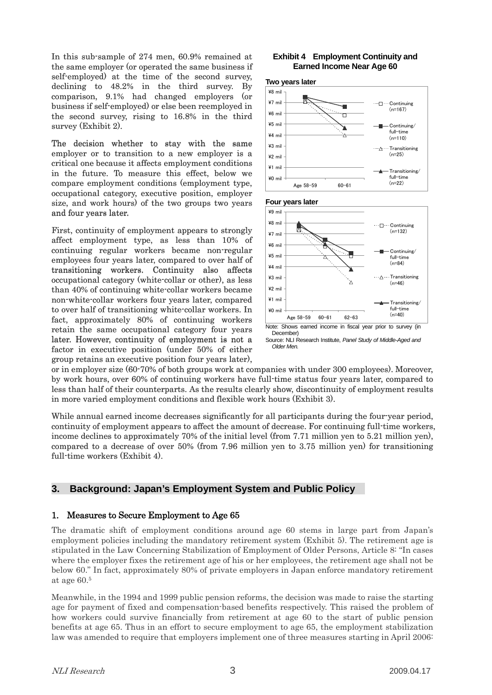In this sub-sample of 274 men, 60.9% remained at the same employer (or operated the same business if self-employed) at the time of the second survey, declining to 48.2% in the third survey. By comparison, 9.1% had changed employers (or business if self-employed) or else been reemployed in the second survey, rising to 16.8% in the third survey (Exhibit 2).

The decision whether to stay with the same employer or to transition to a new employer is a critical one because it affects employment conditions in the future. To measure this effect, below we compare employment conditions (employment type, occupational category, executive position, employer size, and work hours) of the two groups two years and four years later.

First, continuity of employment appears to strongly affect employment type, as less than 10% of continuing regular workers became non-regular employees four years later, compared to over half of transitioning workers. Continuity also affects occupational category (white-collar or other), as less than 40% of continuing white-collar workers became non-white-collar workers four years later, compared to over half of transitioning white-collar workers. In fact, approximately 80% of continuing workers retain the same occupational category four years later. However, continuity of employment is not a factor in executive position (under 50% of either group retains an executive position four years later),

# **Earned Income Near Age 60**





or in employer size (60-70% of both groups work at companies with under 300 employees). Moreover, by work hours, over 60% of continuing workers have full-time status four years later, compared to less than half of their counterparts. As the results clearly show, discontinuity of employment results in more varied employment conditions and flexible work hours (Exhibit 3).

While annual earned income decreases significantly for all participants during the four-year period, continuity of employment appears to affect the amount of decrease. For continuing full-time workers, income declines to approximately 70% of the initial level (from 7.71 million yen to 5.21 million yen), compared to a decrease of over 50% (from 7.96 million yen to 3.75 million yen) for transitioning full-time workers (Exhibit 4).

# **3. Background: Japan's Employment System and Public Policy**

# 1. Measures to Secure Employment to Age 65

The dramatic shift of employment conditions around age 60 stems in large part from Japan's employment policies including the mandatory retirement system (Exhibit 5). The retirement age is stipulated in the Law Concerning Stabilization of Employment of Older Persons, Article 8: "In cases where the employer fixes the retirement age of his or her employees, the retirement age shall not be below 60." In fact, approximately 80% of private employers in Japan enforce mandatory retirement at age 60.5

Meanwhile, in the 1994 and 1999 public pension reforms, the decision was made to raise the starting age for payment of fixed and compensation-based benefits respectively. This raised the problem of how workers could survive financially from retirement at age 60 to the start of public pension benefits at age 65. Thus in an effort to secure employment to age 65, the employment stabilization law was amended to require that employers implement one of three measures starting in April 2006: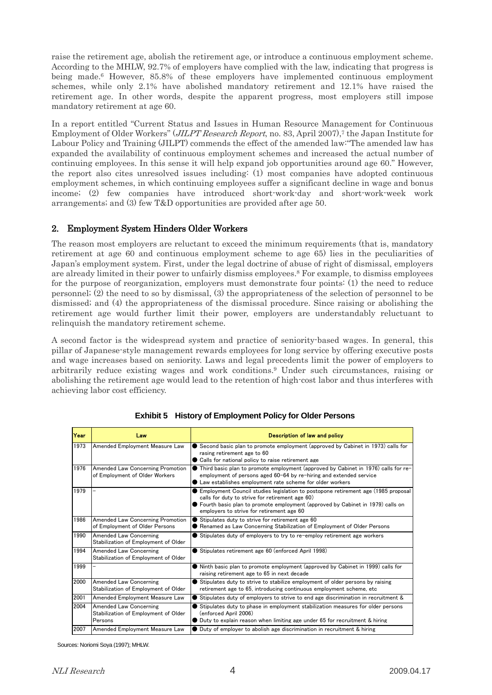raise the retirement age, abolish the retirement age, or introduce a continuous employment scheme. According to the MHLW, 92.7% of employers have complied with the law, indicating that progress is being made.6 However, 85.8% of these employers have implemented continuous employment schemes, while only 2.1% have abolished mandatory retirement and 12.1% have raised the retirement age. In other words, despite the apparent progress, most employers still impose mandatory retirement at age 60.

In a report entitled "Current Status and Issues in Human Resource Management for Continuous Employment of Older Workers" (*JILPT Research Report*, no. 83, April 2007),<sup>7</sup> the Japan Institute for Labour Policy and Training (JILPT) commends the effect of the amended law:"The amended law has expanded the availability of continuous employment schemes and increased the actual number of continuing employees. In this sense it will help expand job opportunities around age 60." However, the report also cites unresolved issues including: (1) most companies have adopted continuous employment schemes, in which continuing employees suffer a significant decline in wage and bonus income; (2) few companies have introduced short-work-day and short-work-week work arrangements; and (3) few T&D opportunities are provided after age 50.

# 2. Employment System Hinders Older Workers

The reason most employers are reluctant to exceed the minimum requirements (that is, mandatory retirement at age 60 and continuous employment scheme to age 65) lies in the peculiarities of Japan's employment system. First, under the legal doctrine of abuse of right of dismissal, employers are already limited in their power to unfairly dismiss employees.<sup>8</sup> For example, to dismiss employees for the purpose of reorganization, employers must demonstrate four points: (1) the need to reduce personnel; (2) the need to so by dismissal, (3) the appropriateness of the selection of personnel to be dismissed; and (4) the appropriateness of the dismissal procedure. Since raising or abolishing the retirement age would further limit their power, employers are understandably reluctuant to relinquish the mandatory retirement scheme.

A second factor is the widespread system and practice of seniority-based wages. In general, this pillar of Japanese-style management rewards employees for long service by offering executive posts and wage increases based on seniority. Laws and legal precedents limit the power of employers to arbitrarily reduce existing wages and work conditions.9 Under such circumstances, raising or abolishing the retirement age would lead to the retention of high-cost labor and thus interferes with achieving labor cost efficiency.

| Year | Law                                                                              | Description of law and policy                                                                                                                                                                                                                                           |  |
|------|----------------------------------------------------------------------------------|-------------------------------------------------------------------------------------------------------------------------------------------------------------------------------------------------------------------------------------------------------------------------|--|
| 1973 | Amended Employment Measure Law                                                   | Second basic plan to promote employment (approved by Cabinet in 1973) calls for<br>rasing retirement age to 60<br>Calls for national policy to raise retirement age                                                                                                     |  |
| 1976 | <b>Amended Law Concerning Promotion</b><br>of Employment of Older Workers        | $\bullet$ Third basic plan to promote employment (approved by Cabinet in 1976) calls for re-<br>employment of persons aged 60-64 by re-hiring and extended service<br>• Law establishes employment rate scheme for older workers                                        |  |
| 1979 |                                                                                  | ● Employment Council studies legislation to postopone retirement age (1985 proposal<br>calls for duty to strive for retirement age 60)<br>• Fourth basic plan to promote employment (approved by Cabinet in 1979) calls on<br>employers to strive for retirement age 60 |  |
| 1986 | Amended Law Concerning Promotion<br>of Employment of Older Persons               | Stipulates duty to strive for retirement age 60<br>Renamed as Law Concerning Stabilization of Employment of Older Persons                                                                                                                                               |  |
| 1990 | <b>Amended Law Concerning</b><br>Stabilization of Employment of Older            | Stipulates duty of employers to try to re-employ retirement age workers                                                                                                                                                                                                 |  |
| 1994 | <b>Amended Law Concerning</b><br>Stabilization of Employment of Older            | Stipulates retirement age 60 (enforced April 1998)                                                                                                                                                                                                                      |  |
| 1999 |                                                                                  | • Ninth basic plan to promote employment (approved by Cabinet in 1999) calls for<br>raising retirement age to 65 in next decade                                                                                                                                         |  |
| 2000 | <b>Amended Law Concerning</b><br>Stabilization of Employment of Older            | Stipulates duty to strive to stabilize employment of older persons by raising<br>retirement age to 65, introducing continuous employment scheme, etc.                                                                                                                   |  |
| 2001 | Amended Employment Measure Law                                                   | Stipulates duty of employers to strive to end age discrimination in recruitment &                                                                                                                                                                                       |  |
| 2004 | <b>Amended Law Concerning</b><br>Stabilization of Employment of Older<br>Persons | Stipulates duty to phase in employment stabilization measures for older persons<br>(enforced April 2006)<br>● Duty to explain reason when limiting age under 65 for recruitment & hiring                                                                                |  |
| 2007 | Amended Employment Measure Law                                                   | ● Duty of employer to abolish age discrimination in recruitment & hiring                                                                                                                                                                                                |  |

**Exhibit 5 History of Employment Policy for Older Persons** 

Sources: Noriomi Soya (1997); MHLW.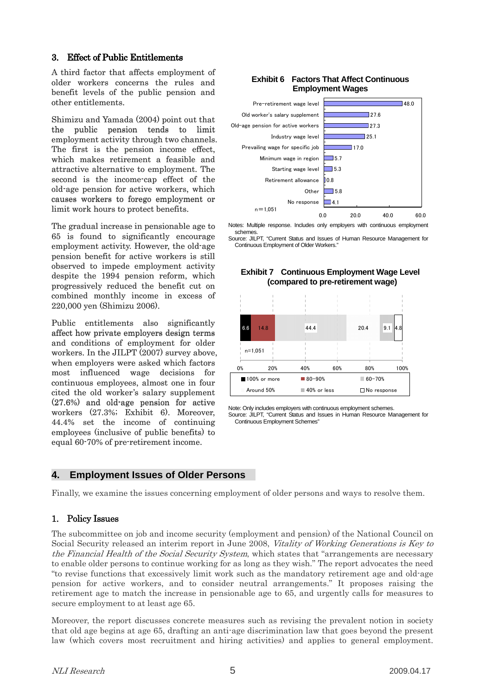### 3. Effect of Public Entitlements

A third factor that affects employment of older workers concerns the rules and benefit levels of the public pension and other entitlements.

Shimizu and Yamada (2004) point out that the public pension tends to limit employment activity through two channels. The first is the pension income effect, which makes retirement a feasible and attractive alternative to employment. The second is the income-cap effect of the old-age pension for active workers, which causes workers to forego employment or limit work hours to protect benefits.

The gradual increase in pensionable age to 65 is found to significantly encourage employment activity. However, the old-age pension benefit for active workers is still observed to impede employment activity despite the 1994 pension reform, which progressively reduced the benefit cut on combined monthly income in excess of 220,000 yen (Shimizu 2006).

Public entitlements also significantly affect how private employers design terms and conditions of employment for older workers. In the JILPT (2007) survey above, when employers were asked which factors most influenced wage decisions for continuous employees, almost one in four cited the old worker's salary supplement (27.6%) and old-age pension for active workers (27.3%; Exhibit 6). Moreover, 44.4% set the income of continuing employees (inclusive of public benefits) to equal 60-70% of pre-retirement income.

#### **Exhibit 6 Factors That Affect Continuous Employment Wages**



Notes: Multiple response. Includes only employers with continuous employment schemes.

Source: JILPT, "Current Status and Issues of Human Resource Management for Continuous Employment of Older Workers."



**Exhibit 7 Continuous Employment Wage Level (compared to pre-retirement wage)** 

Note: Only includes employers with continuous employment schemes. Source: JILPT, "Current Status and Issues in Human Resource Management for Continuous Employment Schemes"

# **4. Employment Issues of Older Persons**

Finally, we examine the issues concerning employment of older persons and ways to resolve them.

# 1. Policy Issues

The subcommittee on job and income security (employment and pension) of the National Council on Social Security released an interim report in June 2008, Vitality of Working Generations is Key to the Financial Health of the Social Security System, which states that "arrangements are necessary to enable older persons to continue working for as long as they wish." The report advocates the need "to revise functions that excessively limit work such as the mandatory retirement age and old-age pension for active workers, and to consider neutral arrangements." It proposes raising the retirement age to match the increase in pensionable age to 65, and urgently calls for measures to secure employment to at least age 65.

Moreover, the report discusses concrete measures such as revising the prevalent notion in society that old age begins at age 65, drafting an anti-age discrimination law that goes beyond the present law (which covers most recruitment and hiring activities) and applies to general employment.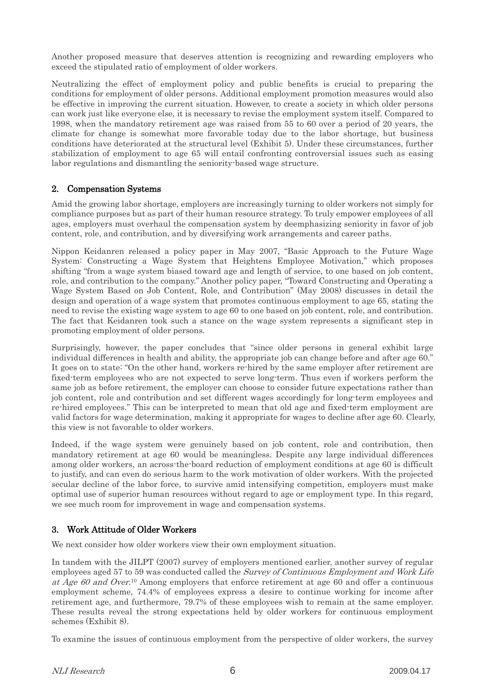Another proposed measure that deserves attention is recognizing and rewarding employers who exceed the stipulated ratio of employment of older workers.

Neutralizing the effect of employment policy and public benefits is crucial to preparing the conditions for employment of older persons. Additional employment promotion measures would also be effective in improving the current situation. However, to create a society in which older persons can work just like everyone else, it is necessary to revise the employment system itself. Compared to 1998, when the mandatory retirement age was raised from 55 to 60 over a period of 20 years, the climate for change is somewhat more favorable today due to the labor shortage, but business conditions have deteriorated at the structural level (Exhibit 5). Under these circumstances, further stabilization of employment to age 65 will entail confronting controversial issues such as easing labor regulations and dismantling the seniority-based wage structure.

# 2. Compensation Systems

Amid the growing labor shortage, employers are increasingly turning to older workers not simply for compliance purposes but as part of their human resource strategy. To truly empower employees of all ages, employers must overhaul the compensation system by deemphasizing seniority in favor of job content, role, and contribution, and by diversifying work arrangements and career paths.

Nippon Keidanren released a policy paper in May 2007, "Basic Approach to the Future Wage System: Constructing a Wage System that Heightens Employee Motivation," which proposes shifting "from a wage system biased toward age and length of service, to one based on job content, role, and contribution to the company." Another policy paper, "Toward Constructing and Operating a Wage System Based on Job Content, Role, and Contribution" (May 2008) discusses in detail the design and operation of a wage system that promotes continuous employment to age 65, stating the need to revise the existing wage system to age 60 to one based on job content, role, and contribution. The fact that Keidanren took such a stance on the wage system represents a significant step in promoting employment of older persons.

Surprisingly, however, the paper concludes that "since older persons in general exhibit large individual differences in health and ability, the appropriate job can change before and after age 60." It goes on to state: "On the other hand, workers re-hired by the same employer after retirement are fixed-term employees who are not expected to serve long-term. Thus even if workers perform the same job as before retirement, the employer can choose to consider future expectations rather than job content, role and contribution and set different wages accordingly for long-term employees and re-hired employees." This can be interpreted to mean that old age and fixed-term employment are valid factors for wage determination, making it appropriate for wages to decline after age 60. Clearly, this view is not favorable to older workers.

Indeed, if the wage system were genuinely based on job content, role and contribution, then mandatory retirement at age 60 would be meaningless. Despite any large individual differences among older workers, an across-the-board reduction of employment conditions at age 60 is difficult to justify, and can even do serious harm to the work motivation of older workers. With the projected secular decline of the labor force, to survive amid intensifying competition, employers must make optimal use of superior human resources without regard to age or employment type. In this regard, we see much room for improvement in wage and compensation systems.

# 3. Work Attitude of Older Workers

We next consider how older workers view their own employment situation.

In tandem with the JILPT (2007) survey of employers mentioned earlier, another survey of regular employees aged 57 to 59 was conducted called the *Survey of Continuous Employment and Work Life* at Age 60 and Over.<sup>10</sup> Among employers that enforce retirement at age 60 and offer a continuous employment scheme, 74.4% of employees express a desire to continue working for income after retirement age, and furthermore, 79.7% of these employees wish to remain at the same employer. These results reveal the strong expectations held by older workers for continuous employment schemes (Exhibit 8).

To examine the issues of continuous employment from the perspective of older workers, the survey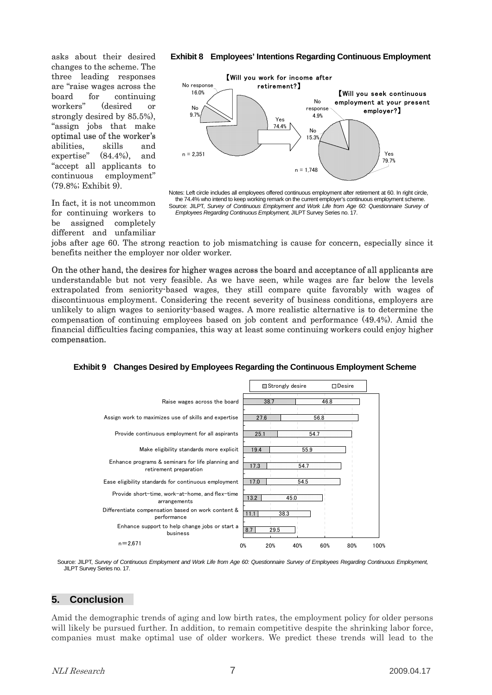asks about their desired changes to the scheme. The three leading responses are "raise wages across the board for continuing workers" (desired or strongly desired by 85.5%), "assign jobs that make optimal use of the worker's abilities, skills and expertise"  $(84.4\%)$ , "accept all applicants to continuous employment" (79.8%; Exhibit 9). and

In fact, it is not uncommon for continuing workers to be assigned completely different and unfamiliar

#### **Exhibit 8 Employees' Intentions Regarding Continuous Employment**



Notes: Left circle includes all employees offered continuous employment after retirement at 60. In right circle, the 74.4% who intend to keep working remark on the current employer's continuous employment scheme. Source: JILPT, Survey of Continuous Employment and Work Life from Age 60: Questionnaire Survey of *Employees Regarding Continuous Employment,* JILPT Survey Series no. 17.

jobs after age 60. The strong reaction to job mismatching is cause for concern, especially since it benefits neither the employer nor older worker.

On the other hand, the desires for higher wages across the board and acceptance of all applicants are understandable but not very feasible. As we have seen, while wages are far below the levels extrapolated from seniority-based wages, they still compare quite favorably with wages of discontinuous employment. Considering the recent severity of business conditions, employers are discontinuous employment. Considering the recent severity of business conditions, employers are unlikely to align wages to seniority-based wages. A more realistic alternative is to determine the compensation of continuing employees based on job content and performance (49.4%). Amid the financial difficulties facing companies, this way at least some continuing workers could enjoy higher compensation.



#### **Exhibit 9 Changes Desired by Employees Regarding the Continuous Employment Scheme**

Source: JILPT, *Survey of Continuous Employment and Work Life from Age 60: Questionnaire Survey of Employees Regarding Continuous Employment,* JILPT Survey Series no. 17.

# **5. Conclusion**

Amid the demographic trends of aging and low birth rates, the employment policy for older persons will likely be pursued further. In addition, to remain competitive despite the shrinking labor force, companies must make optimal use of older workers. We predict these trends will lead to the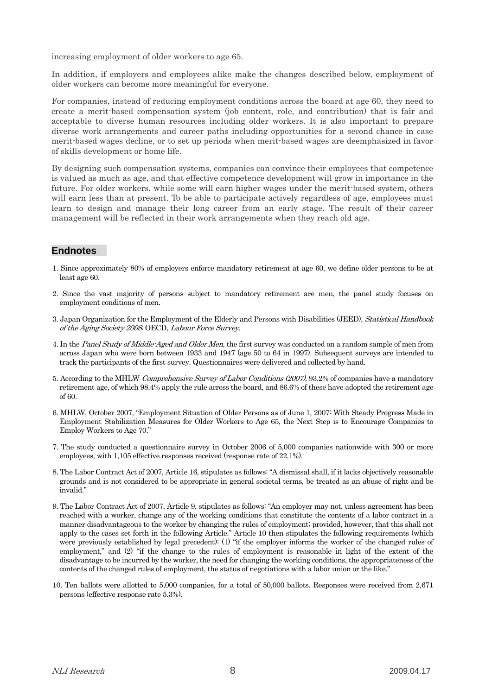increasing employment of older workers to age 65.

In addition, if employers and employees alike make the changes described below, employment of older workers can become more meaningful for everyone.

For companies, instead of reducing employment conditions across the board at age 60, they need to create a merit-based compensation system (job content, role, and contribution) that is fair and acceptable to diverse human resources including older workers. It is also important to prepare diverse work arrangements and career paths including opportunities for a second chance in case merit-based wages decline, or to set up periods when merit-based wages are deemphasized in favor of skills development or home life.

By designing such compensation systems, companies can convince their employees that competence is valued as much as age, and that effective competence development will grow in importance in the future. For older workers, while some will earn higher wages under the merit-based system, others will earn less than at present. To be able to participate actively regardless of age, employees must learn to design and manage their long career from an early stage. The result of their career management will be reflected in their work arrangements when they reach old age.

# **Endnotes**

- 1. Since approximately 80% of employers enforce mandatory retirement at age 60, we define older persons to be at least age 60.
- 2. Since the vast majority of persons subject to mandatory retirement are men, the panel study focuses on employment conditions of men.
- 3. Japan Organization for the Employment of the Elderly and Persons with Disabilities (JEED), Statistical Handbook of the Aging Society 2008; OECD, Labour Force Survey.
- 4. In the Panel Study of Middle-Aged and Older Men, the first survey was conducted on a random sample of men from across Japan who were born between 1933 and 1947 (age 50 to 64 in 1997). Subsequent surveys are intended to track the participants of the first survey. Questionnaires were delivered and collected by hand.
- 5. According to the MHLW Comprehensive Survey of Labor Conditions (2007), 93.2% of companies have a mandatory retirement age, of which 98.4% apply the rule across the board, and 86.6% of these have adopted the retirement age of 60.
- 6. MHLW, October 2007, "Employment Situation of Older Persons as of June 1, 2007: With Steady Progress Made in Employment Stabilization Measures for Older Workers to Age 65, the Next Step is to Encourage Companies to Employ Workers to Age 70."
- 7. The study conducted a questionnaire survey in October 2006 of 5,000 companies nationwide with 300 or more employees, with 1,105 effective responses received (response rate of 22.1%).
- 8. The Labor Contract Act of 2007, Article 16, stipulates as follows: "A dismissal shall, if it lacks objectively reasonable grounds and is not considered to be appropriate in general societal terms, be treated as an abuse of right and be invalid."
- 9. The Labor Contract Act of 2007, Article 9, stipulates as follows: "An employer may not, unless agreement has been reached with a worker, change any of the working conditions that constitute the contents of a labor contract in a manner disadvantageous to the worker by changing the rules of employment; provided, however, that this shall not apply to the cases set forth in the following Article." Article 10 then stipulates the following requirements (which were previously established by legal precedent): (1) "if the employer informs the worker of the changed rules of employment," and (2) "if the change to the rules of employment is reasonable in light of the extent of the disadvantage to be incurred by the worker, the need for changing the working conditions, the appropriateness of the contents of the changed rules of employment, the status of negotiations with a labor union or the like."
- 10. Ten ballots were allotted to 5,000 companies, for a total of 50,000 ballots. Responses were received from 2,671 persons (effective response rate 5.3%).